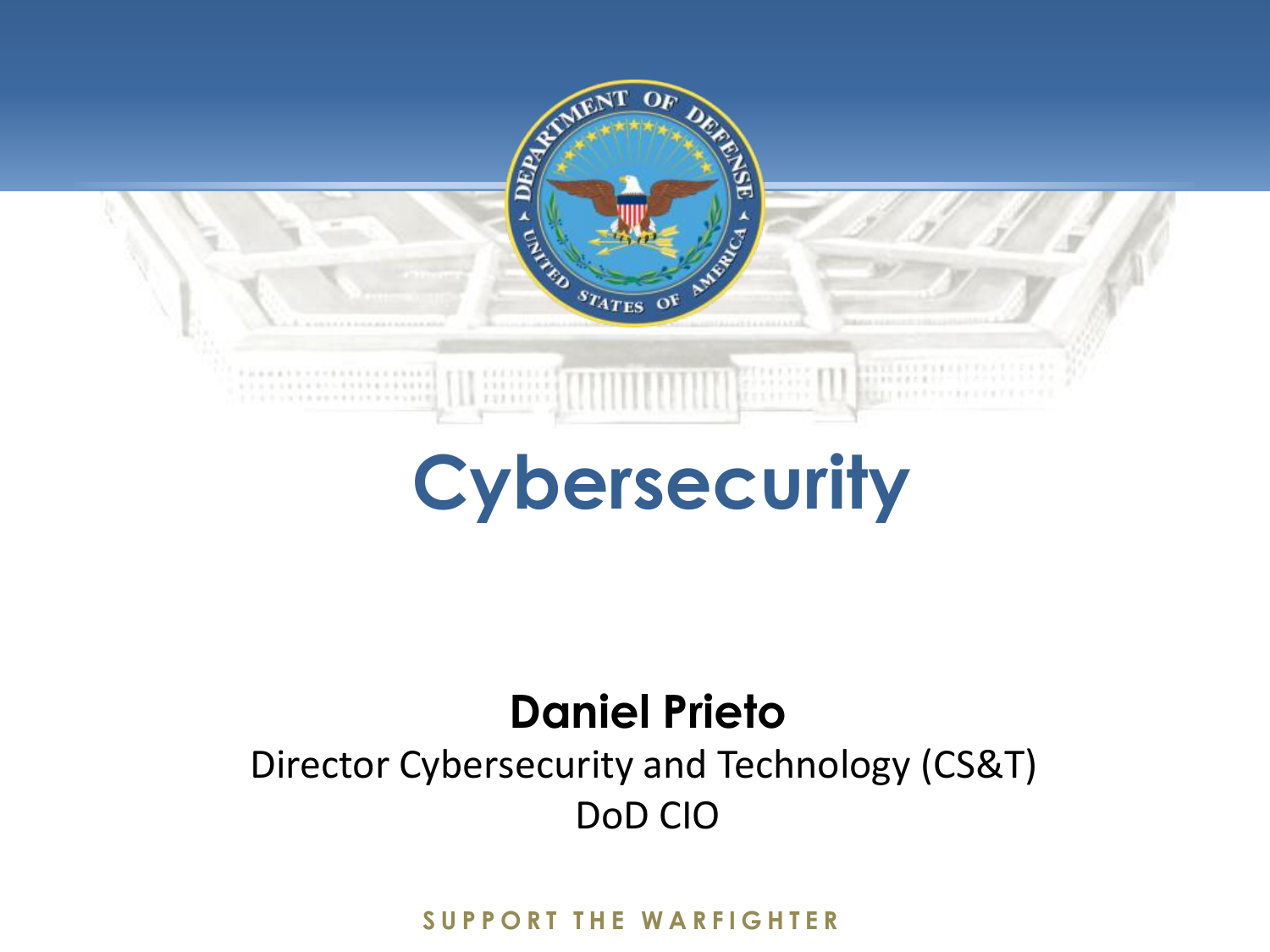

# **Cybersecurity**

### **Daniel Prieto**

#### Director Cybersecurity and Technology (CS&T) DoD CIO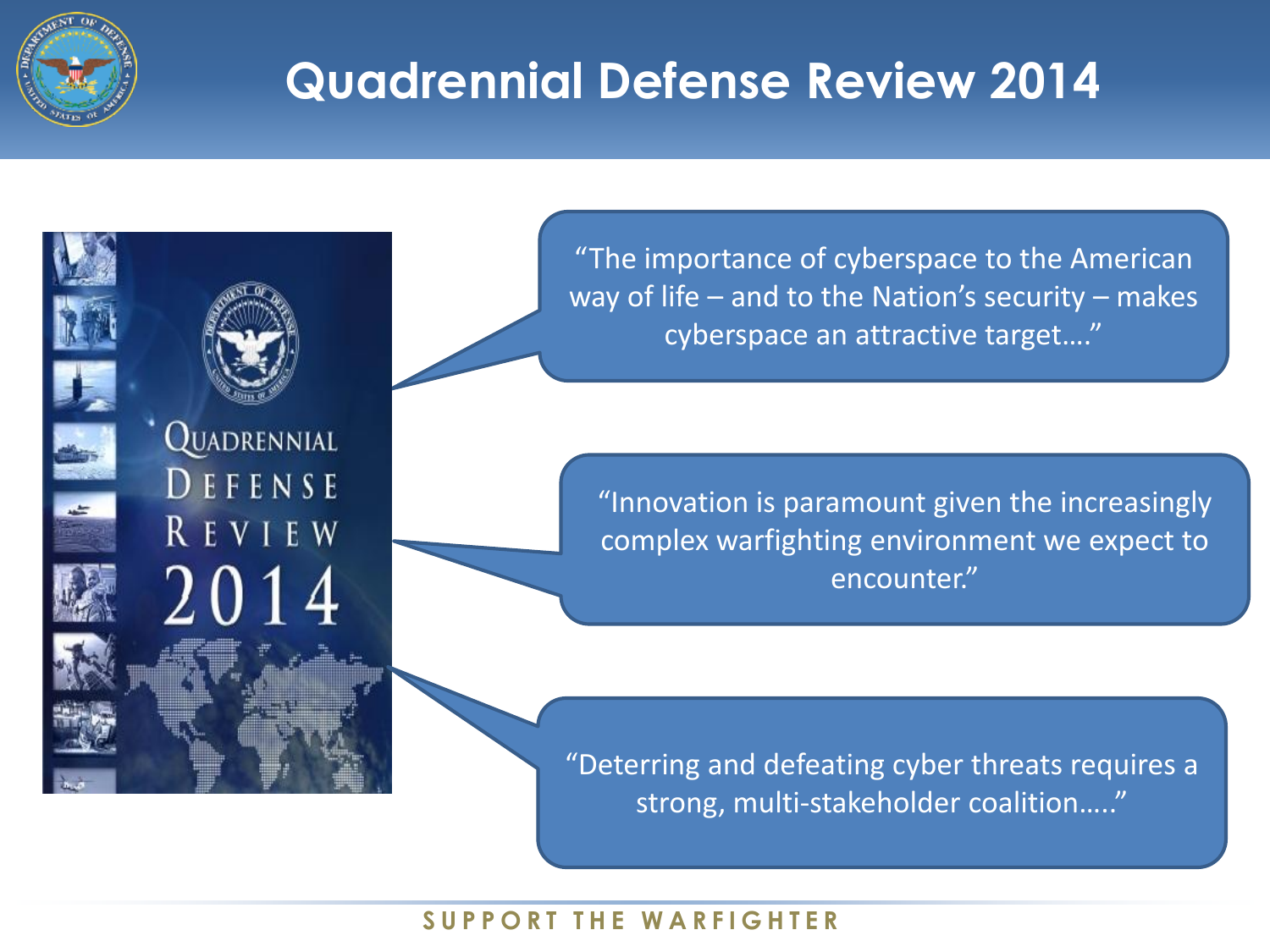

## **Quadrennial Defense Review 2014**

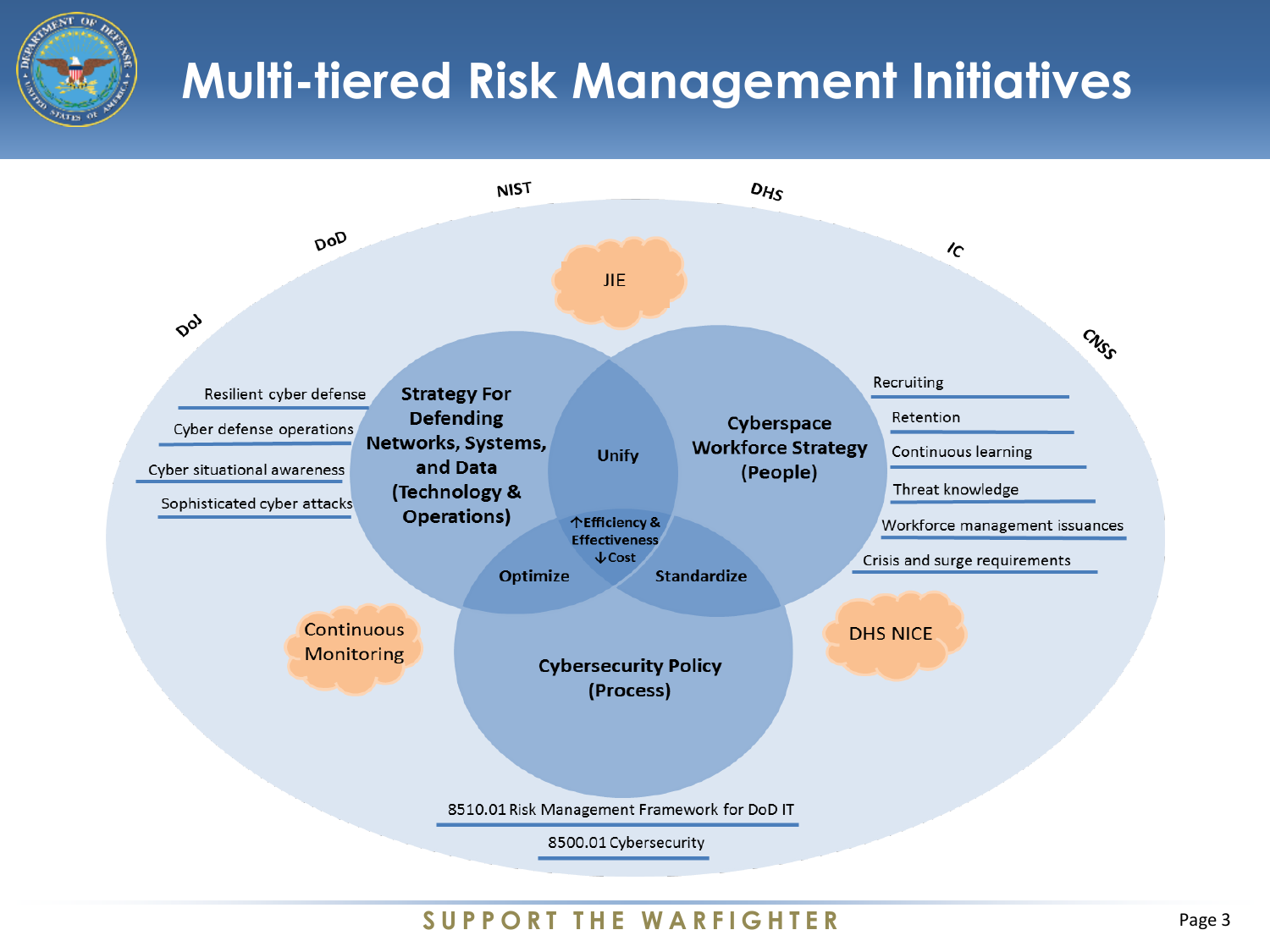

## **Multi-tiered Risk Management Initiatives**

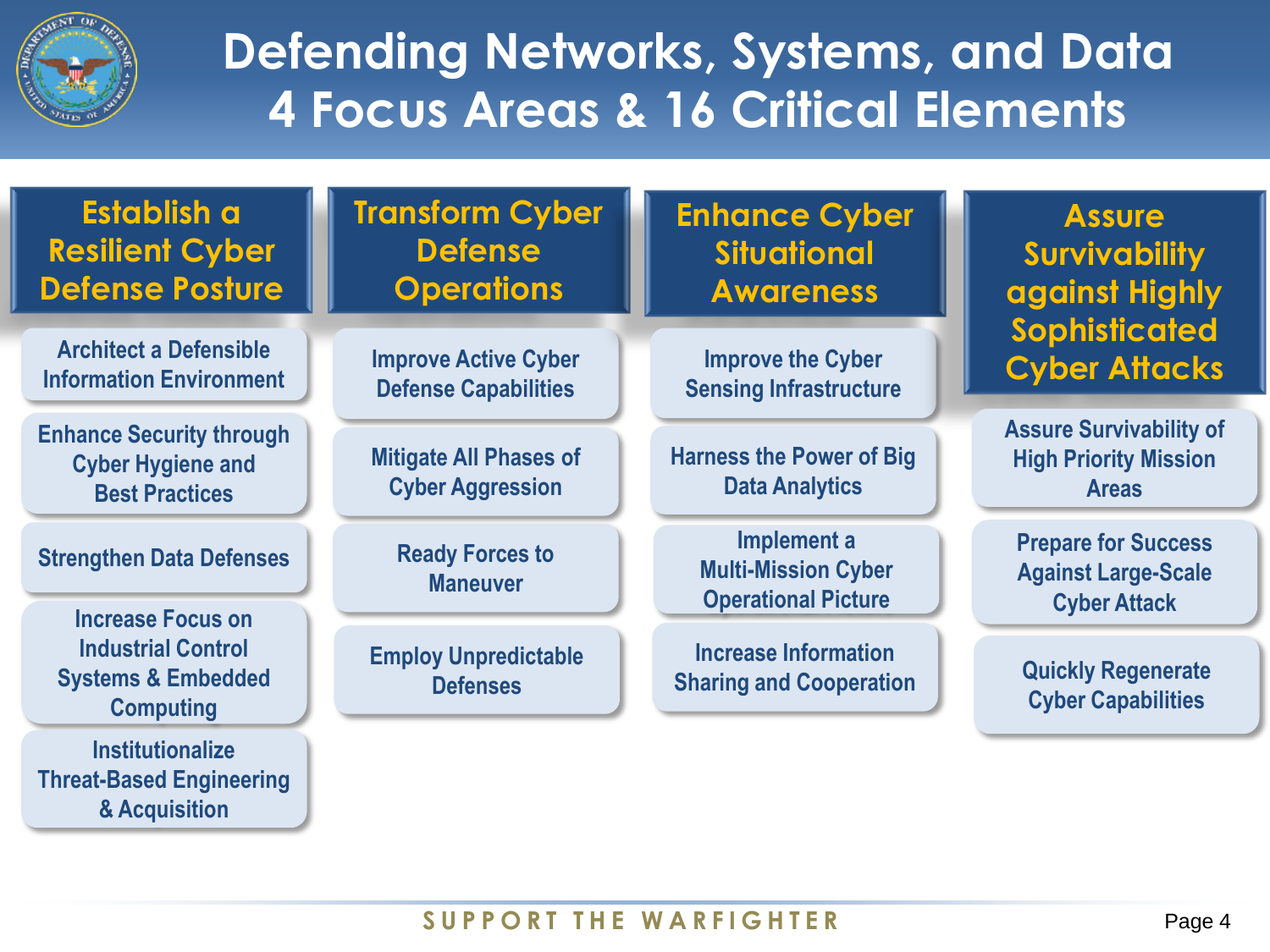

## **Defending Networks, Systems, and Data 4 Focus Areas & 16 Critical Elements**

| Establish a<br><b>Resilient Cyber</b><br><b>Defense Posture</b>                      | <b>Transform Cyber</b><br><b>Defense</b><br><b>Operations</b> | <b>Enhance Cyber</b><br><b>Situational</b><br><b>Awareness</b>          | <b>Assure</b><br><b>Survivability</b><br>against Highly                         |
|--------------------------------------------------------------------------------------|---------------------------------------------------------------|-------------------------------------------------------------------------|---------------------------------------------------------------------------------|
| <b>Architect a Defensible</b><br><b>Information Environment</b>                      | <b>Improve Active Cyber</b><br><b>Defense Capabilities</b>    | <b>Improve the Cyber</b><br><b>Sensing Infrastructure</b>               | Sophisticated<br><b>Cyber Attacks</b>                                           |
| <b>Enhance Security through</b><br><b>Cyber Hygiene and</b><br><b>Best Practices</b> | <b>Mitigate All Phases of</b><br><b>Cyber Aggression</b>      | <b>Harness the Power of Big</b><br><b>Data Analytics</b>                | <b>Assure Survivability of</b><br><b>High Priority Mission</b><br><b>Areas</b>  |
| <b>Strengthen Data Defenses</b><br><b>Increase Focus on</b>                          | <b>Ready Forces to</b><br><b>Maneuver</b>                     | Implement a<br><b>Multi-Mission Cyber</b><br><b>Operational Picture</b> | <b>Prepare for Success</b><br><b>Against Large-Scale</b><br><b>Cyber Attack</b> |
| <b>Industrial Control</b><br><b>Systems &amp; Embedded</b><br><b>Computing</b>       | <b>Employ Unpredictable</b><br><b>Defenses</b>                | <b>Increase Information</b><br><b>Sharing and Cooperation</b>           | <b>Quickly Regenerate</b><br><b>Cyber Capabilities</b>                          |
| <b>Institutionalize</b><br><b>Threat-Based Engineering</b><br>& Acquisition          |                                                               |                                                                         |                                                                                 |